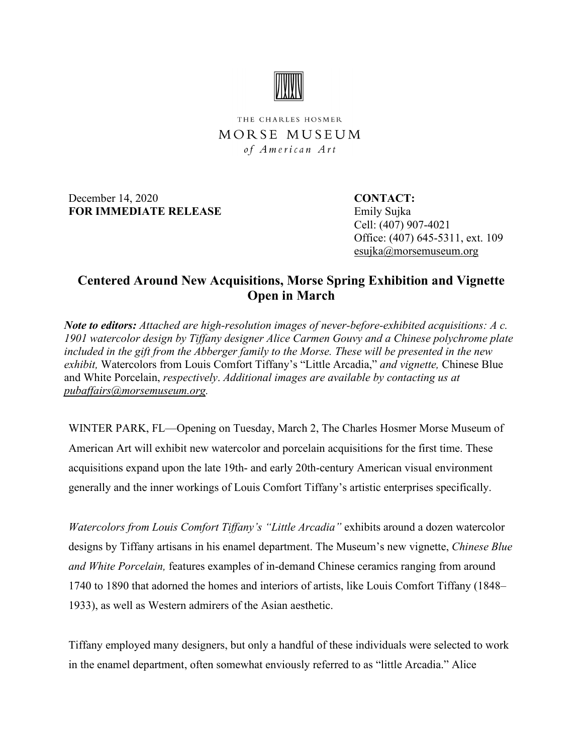

THE CHARLES HOSMER MORSE MUSEUM of American Art

December 14, 2020<br>
CONTACT: **FOR IMMEDIATE RELEASE** Emily Sujka

 Cell: (407) 907-4021 Office: (407) 645-5311, ext. 109 esujka@morsemuseum.org

## **Centered Around New Acquisitions, Morse Spring Exhibition and Vignette Open in March**

*Note to editors: Attached are high-resolution images of never-before-exhibited acquisitions: A c. 1901 watercolor design by Tiffany designer Alice Carmen Gouvy and a Chinese polychrome plate included in the gift from the Abberger family to the Morse. These will be presented in the new exhibit,* Watercolors from Louis Comfort Tiffany's "Little Arcadia," *and vignette,* Chinese Blue and White Porcelain, *respectively*. *Additional images are available by contacting us at [pubaffairs@morsemuseum.org.](mailto:pubaffairs@morsemuseum.org%20%5C%20mailto:pubaffairs@morsemuseum.org)*

WINTER PARK, FL—Opening on Tuesday, March 2, The Charles Hosmer Morse Museum of American Art will exhibit new watercolor and porcelain acquisitions for the first time. These acquisitions expand upon the late 19th- and early 20th-century American visual environment generally and the inner workings of Louis Comfort Tiffany's artistic enterprises specifically.

*Watercolors from Louis Comfort Tiffany's "Little Arcadia"* exhibits around a dozen watercolor designs by Tiffany artisans in his enamel department. The Museum's new vignette, *Chinese Blue and White Porcelain,* features examples of in-demand Chinese ceramics ranging from around 1740 to 1890 that adorned the homes and interiors of artists, like Louis Comfort Tiffany (1848– 1933), as well as Western admirers of the Asian aesthetic.

Tiffany employed many designers, but only a handful of these individuals were selected to work in the enamel department, often somewhat enviously referred to as "little Arcadia." Alice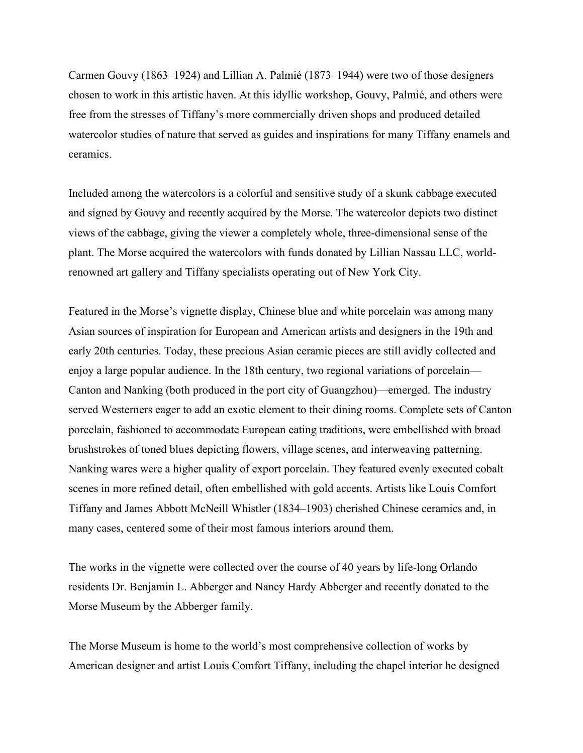Carmen Gouvy (1863–1924) and Lillian A. Palmié (1873–1944) were two of those designers chosen to work in this artistic haven. At this idyllic workshop, Gouvy, Palmié, and others were free from the stresses of Tiffany's more commercially driven shops and produced detailed watercolor studies of nature that served as guides and inspirations for many Tiffany enamels and ceramics.

Included among the watercolors is a colorful and sensitive study of a skunk cabbage executed and signed by Gouvy and recently acquired by the Morse. The watercolor depicts two distinct views of the cabbage, giving the viewer a completely whole, three-dimensional sense of the plant. The Morse acquired the watercolors with funds donated by Lillian Nassau LLC, worldrenowned art gallery and Tiffany specialists operating out of New York City.

Featured in the Morse's vignette display, Chinese blue and white porcelain was among many Asian sources of inspiration for European and American artists and designers in the 19th and early 20th centuries. Today, these precious Asian ceramic pieces are still avidly collected and enjoy a large popular audience. In the 18th century, two regional variations of porcelain— Canton and Nanking (both produced in the port city of Guangzhou)—emerged. The industry served Westerners eager to add an exotic element to their dining rooms. Complete sets of Canton porcelain, fashioned to accommodate European eating traditions, were embellished with broad brushstrokes of toned blues depicting flowers, village scenes, and interweaving patterning. Nanking wares were a higher quality of export porcelain. They featured evenly executed cobalt scenes in more refined detail, often embellished with gold accents. Artists like Louis Comfort Tiffany and James Abbott McNeill Whistler (1834–1903) cherished Chinese ceramics and, in many cases, centered some of their most famous interiors around them.

The works in the vignette were collected over the course of 40 years by life-long Orlando residents Dr. Benjamin L. Abberger and Nancy Hardy Abberger and recently donated to the Morse Museum by the Abberger family.

The Morse Museum is home to the world's most comprehensive collection of works by American designer and artist Louis Comfort Tiffany, including the chapel interior he designed